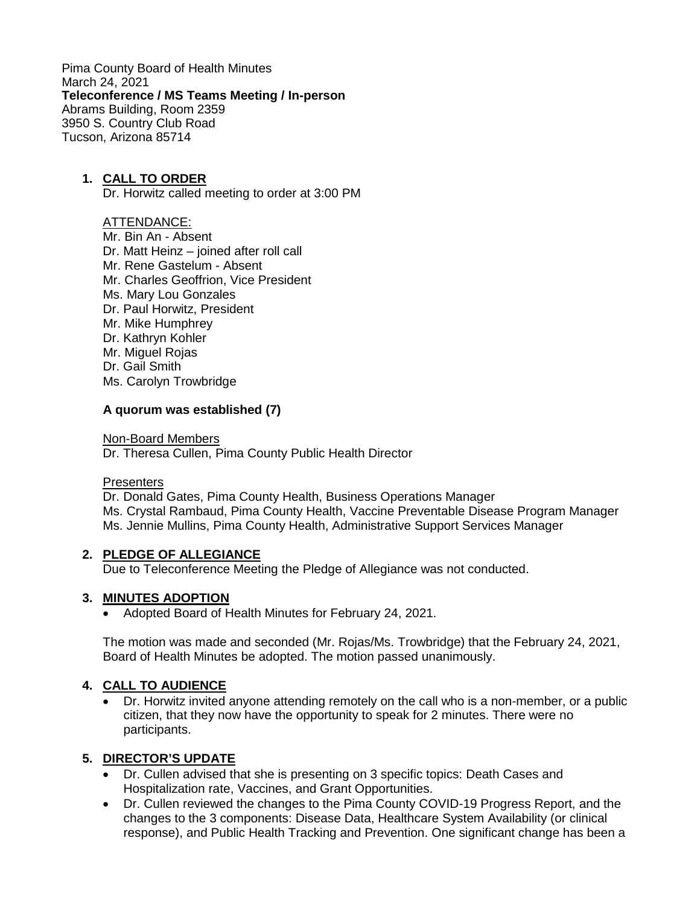Pima County Board of Health Minutes March 24, 2021 **Teleconference / MS Teams Meeting / In-person** Abrams Building, Room 2359 3950 S. Country Club Road Tucson, Arizona 85714

### **1. CALL TO ORDER**

Dr. Horwitz called meeting to order at 3:00 PM

### ATTENDANCE:

- Mr. Bin An Absent
- Dr. Matt Heinz joined after roll call
- Mr. Rene Gastelum Absent
- Mr. Charles Geoffrion, Vice President
- Ms. Mary Lou Gonzales
- Dr. Paul Horwitz, President
- Mr. Mike Humphrey
- Dr. Kathryn Kohler
- Mr. Miguel Rojas
- Dr. Gail Smith
- Ms. Carolyn Trowbridge

### **A quorum was established (7)**

Non-Board Members

Dr. Theresa Cullen, Pima County Public Health Director

#### **Presenters**

Dr. Donald Gates, Pima County Health, Business Operations Manager Ms. Crystal Rambaud, Pima County Health, Vaccine Preventable Disease Program Manager Ms. Jennie Mullins, Pima County Health, Administrative Support Services Manager

### **2. PLEDGE OF ALLEGIANCE**

Due to Teleconference Meeting the Pledge of Allegiance was not conducted.

### **3. MINUTES ADOPTION**

• Adopted Board of Health Minutes for February 24, 2021.

The motion was made and seconded (Mr. Rojas/Ms. Trowbridge) that the February 24, 2021, Board of Health Minutes be adopted. The motion passed unanimously.

### **4. CALL TO AUDIENCE**

• Dr. Horwitz invited anyone attending remotely on the call who is a non-member, or a public citizen, that they now have the opportunity to speak for 2 minutes. There were no participants.

### **5. DIRECTOR'S UPDATE**

- Dr. Cullen advised that she is presenting on 3 specific topics: Death Cases and Hospitalization rate, Vaccines, and Grant Opportunities.
- Dr. Cullen reviewed the changes to the Pima County COVID-19 Progress Report, and the changes to the 3 components: Disease Data, Healthcare System Availability (or clinical response), and Public Health Tracking and Prevention. One significant change has been a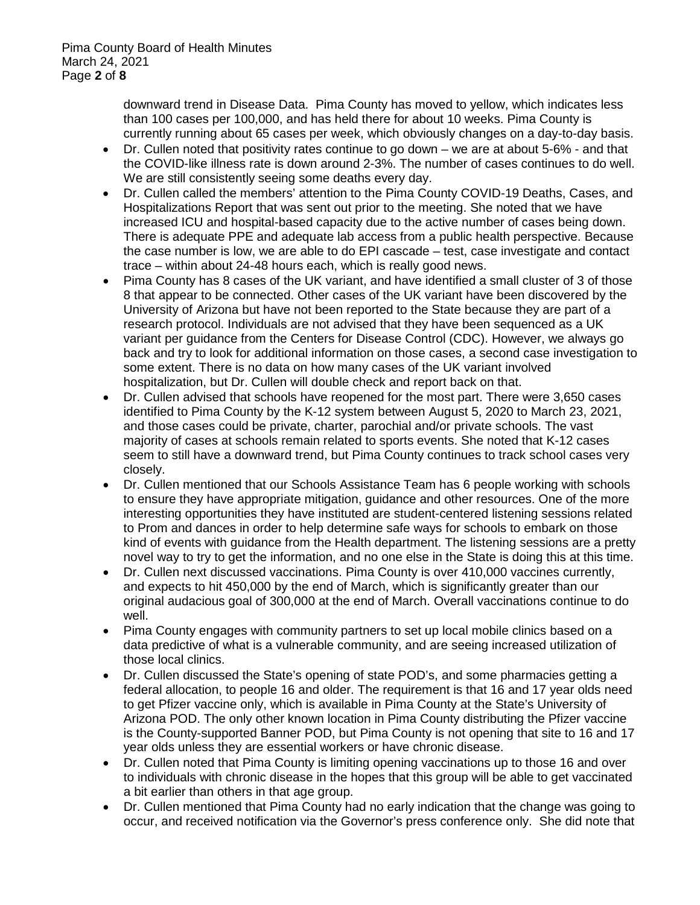downward trend in Disease Data. Pima County has moved to yellow, which indicates less than 100 cases per 100,000, and has held there for about 10 weeks. Pima County is currently running about 65 cases per week, which obviously changes on a day-to-day basis.

- Dr. Cullen noted that positivity rates continue to go down we are at about 5-6% and that the COVID-like illness rate is down around 2-3%. The number of cases continues to do well. We are still consistently seeing some deaths every day.
- Dr. Cullen called the members' attention to the Pima County COVID-19 Deaths, Cases, and Hospitalizations Report that was sent out prior to the meeting. She noted that we have increased ICU and hospital-based capacity due to the active number of cases being down. There is adequate PPE and adequate lab access from a public health perspective. Because the case number is low, we are able to do EPI cascade – test, case investigate and contact trace – within about 24-48 hours each, which is really good news.
- Pima County has 8 cases of the UK variant, and have identified a small cluster of 3 of those 8 that appear to be connected. Other cases of the UK variant have been discovered by the University of Arizona but have not been reported to the State because they are part of a research protocol. Individuals are not advised that they have been sequenced as a UK variant per guidance from the Centers for Disease Control (CDC). However, we always go back and try to look for additional information on those cases, a second case investigation to some extent. There is no data on how many cases of the UK variant involved hospitalization, but Dr. Cullen will double check and report back on that.
- Dr. Cullen advised that schools have reopened for the most part. There were 3,650 cases identified to Pima County by the K-12 system between August 5, 2020 to March 23, 2021, and those cases could be private, charter, parochial and/or private schools. The vast majority of cases at schools remain related to sports events. She noted that K-12 cases seem to still have a downward trend, but Pima County continues to track school cases very closely.
- Dr. Cullen mentioned that our Schools Assistance Team has 6 people working with schools to ensure they have appropriate mitigation, guidance and other resources. One of the more interesting opportunities they have instituted are student-centered listening sessions related to Prom and dances in order to help determine safe ways for schools to embark on those kind of events with guidance from the Health department. The listening sessions are a pretty novel way to try to get the information, and no one else in the State is doing this at this time.
- Dr. Cullen next discussed vaccinations. Pima County is over 410,000 vaccines currently, and expects to hit 450,000 by the end of March, which is significantly greater than our original audacious goal of 300,000 at the end of March. Overall vaccinations continue to do well.
- Pima County engages with community partners to set up local mobile clinics based on a data predictive of what is a vulnerable community, and are seeing increased utilization of those local clinics.
- Dr. Cullen discussed the State's opening of state POD's, and some pharmacies getting a federal allocation, to people 16 and older. The requirement is that 16 and 17 year olds need to get Pfizer vaccine only, which is available in Pima County at the State's University of Arizona POD. The only other known location in Pima County distributing the Pfizer vaccine is the County-supported Banner POD, but Pima County is not opening that site to 16 and 17 year olds unless they are essential workers or have chronic disease.
- Dr. Cullen noted that Pima County is limiting opening vaccinations up to those 16 and over to individuals with chronic disease in the hopes that this group will be able to get vaccinated a bit earlier than others in that age group.
- Dr. Cullen mentioned that Pima County had no early indication that the change was going to occur, and received notification via the Governor's press conference only. She did note that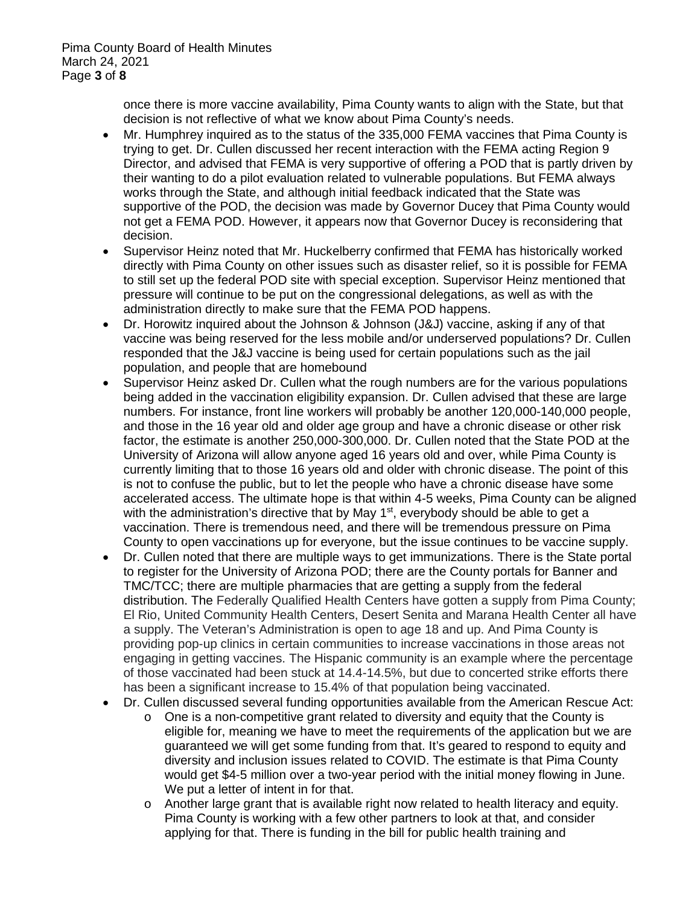once there is more vaccine availability, Pima County wants to align with the State, but that decision is not reflective of what we know about Pima County's needs.

- Mr. Humphrey inquired as to the status of the 335,000 FEMA vaccines that Pima County is trying to get. Dr. Cullen discussed her recent interaction with the FEMA acting Region 9 Director, and advised that FEMA is very supportive of offering a POD that is partly driven by their wanting to do a pilot evaluation related to vulnerable populations. But FEMA always works through the State, and although initial feedback indicated that the State was supportive of the POD, the decision was made by Governor Ducey that Pima County would not get a FEMA POD. However, it appears now that Governor Ducey is reconsidering that decision.
- Supervisor Heinz noted that Mr. Huckelberry confirmed that FEMA has historically worked directly with Pima County on other issues such as disaster relief, so it is possible for FEMA to still set up the federal POD site with special exception. Supervisor Heinz mentioned that pressure will continue to be put on the congressional delegations, as well as with the administration directly to make sure that the FEMA POD happens.
- Dr. Horowitz inquired about the Johnson & Johnson (J&J) vaccine, asking if any of that vaccine was being reserved for the less mobile and/or underserved populations? Dr. Cullen responded that the J&J vaccine is being used for certain populations such as the jail population, and people that are homebound
- Supervisor Heinz asked Dr. Cullen what the rough numbers are for the various populations being added in the vaccination eligibility expansion. Dr. Cullen advised that these are large numbers. For instance, front line workers will probably be another 120,000-140,000 people, and those in the 16 year old and older age group and have a chronic disease or other risk factor, the estimate is another 250,000-300,000. Dr. Cullen noted that the State POD at the University of Arizona will allow anyone aged 16 years old and over, while Pima County is currently limiting that to those 16 years old and older with chronic disease. The point of this is not to confuse the public, but to let the people who have a chronic disease have some accelerated access. The ultimate hope is that within 4-5 weeks, Pima County can be aligned with the administration's directive that by May 1<sup>st</sup>, everybody should be able to get a vaccination. There is tremendous need, and there will be tremendous pressure on Pima County to open vaccinations up for everyone, but the issue continues to be vaccine supply.
- Dr. Cullen noted that there are multiple ways to get immunizations. There is the State portal to register for the University of Arizona POD; there are the County portals for Banner and TMC/TCC; there are multiple pharmacies that are getting a supply from the federal distribution. The Federally Qualified Health Centers have gotten a supply from Pima County; El Rio, United Community Health Centers, Desert Senita and Marana Health Center all have a supply. The Veteran's Administration is open to age 18 and up. And Pima County is providing pop-up clinics in certain communities to increase vaccinations in those areas not engaging in getting vaccines. The Hispanic community is an example where the percentage of those vaccinated had been stuck at 14.4-14.5%, but due to concerted strike efforts there has been a significant increase to 15.4% of that population being vaccinated.
- Dr. Cullen discussed several funding opportunities available from the American Rescue Act:
	- o One is a non-competitive grant related to diversity and equity that the County is eligible for, meaning we have to meet the requirements of the application but we are guaranteed we will get some funding from that. It's geared to respond to equity and diversity and inclusion issues related to COVID. The estimate is that Pima County would get \$4-5 million over a two-year period with the initial money flowing in June. We put a letter of intent in for that.
	- o Another large grant that is available right now related to health literacy and equity. Pima County is working with a few other partners to look at that, and consider applying for that. There is funding in the bill for public health training and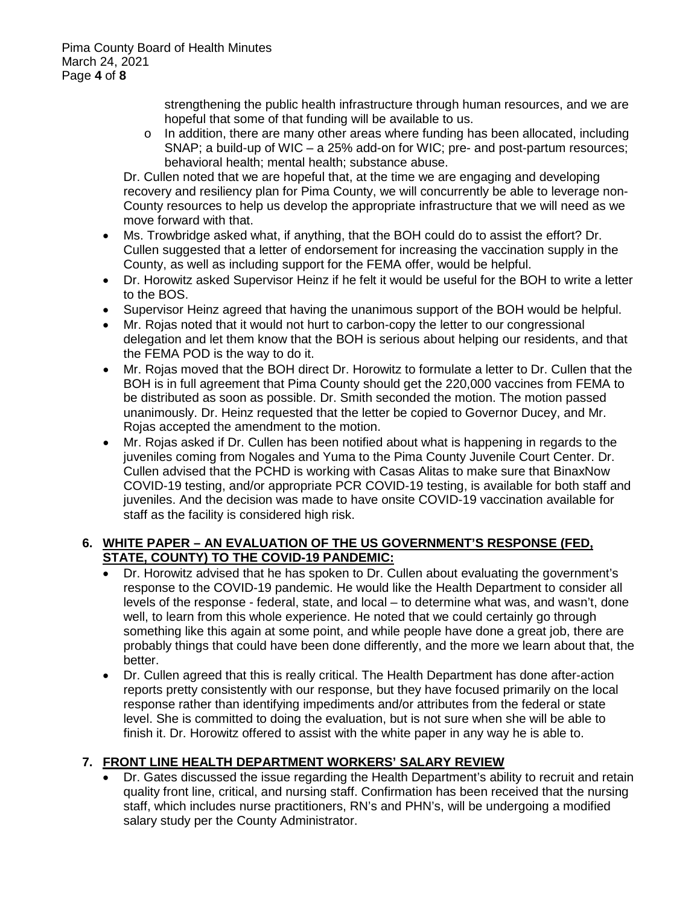strengthening the public health infrastructure through human resources, and we are hopeful that some of that funding will be available to us.

 $\circ$  In addition, there are many other areas where funding has been allocated, including SNAP; a build-up of WIC – a 25% add-on for WIC; pre- and post-partum resources; behavioral health; mental health; substance abuse.

Dr. Cullen noted that we are hopeful that, at the time we are engaging and developing recovery and resiliency plan for Pima County, we will concurrently be able to leverage non-County resources to help us develop the appropriate infrastructure that we will need as we move forward with that.

- Ms. Trowbridge asked what, if anything, that the BOH could do to assist the effort? Dr. Cullen suggested that a letter of endorsement for increasing the vaccination supply in the County, as well as including support for the FEMA offer, would be helpful.
- Dr. Horowitz asked Supervisor Heinz if he felt it would be useful for the BOH to write a letter to the BOS.
- Supervisor Heinz agreed that having the unanimous support of the BOH would be helpful.
- Mr. Rojas noted that it would not hurt to carbon-copy the letter to our congressional delegation and let them know that the BOH is serious about helping our residents, and that the FEMA POD is the way to do it.
- Mr. Rojas moved that the BOH direct Dr. Horowitz to formulate a letter to Dr. Cullen that the BOH is in full agreement that Pima County should get the 220,000 vaccines from FEMA to be distributed as soon as possible. Dr. Smith seconded the motion. The motion passed unanimously. Dr. Heinz requested that the letter be copied to Governor Ducey, and Mr. Rojas accepted the amendment to the motion.
- Mr. Rojas asked if Dr. Cullen has been notified about what is happening in regards to the juveniles coming from Nogales and Yuma to the Pima County Juvenile Court Center. Dr. Cullen advised that the PCHD is working with Casas Alitas to make sure that BinaxNow COVID-19 testing, and/or appropriate PCR COVID-19 testing, is available for both staff and juveniles. And the decision was made to have onsite COVID-19 vaccination available for staff as the facility is considered high risk.

### **6. WHITE PAPER – AN EVALUATION OF THE US GOVERNMENT'S RESPONSE (FED, STATE, COUNTY) TO THE COVID-19 PANDEMIC:**

- Dr. Horowitz advised that he has spoken to Dr. Cullen about evaluating the government's response to the COVID-19 pandemic. He would like the Health Department to consider all levels of the response - federal, state, and local – to determine what was, and wasn't, done well, to learn from this whole experience. He noted that we could certainly go through something like this again at some point, and while people have done a great job, there are probably things that could have been done differently, and the more we learn about that, the better.
- Dr. Cullen agreed that this is really critical. The Health Department has done after-action reports pretty consistently with our response, but they have focused primarily on the local response rather than identifying impediments and/or attributes from the federal or state level. She is committed to doing the evaluation, but is not sure when she will be able to finish it. Dr. Horowitz offered to assist with the white paper in any way he is able to.

# **7. FRONT LINE HEALTH DEPARTMENT WORKERS' SALARY REVIEW**

• Dr. Gates discussed the issue regarding the Health Department's ability to recruit and retain quality front line, critical, and nursing staff. Confirmation has been received that the nursing staff, which includes nurse practitioners, RN's and PHN's, will be undergoing a modified salary study per the County Administrator.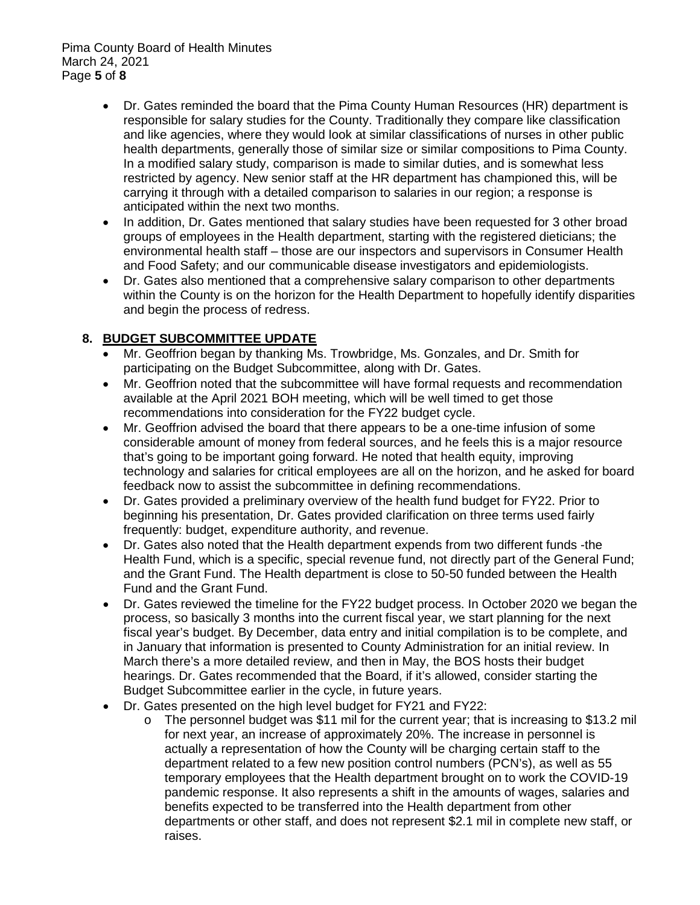- Dr. Gates reminded the board that the Pima County Human Resources (HR) department is responsible for salary studies for the County. Traditionally they compare like classification and like agencies, where they would look at similar classifications of nurses in other public health departments, generally those of similar size or similar compositions to Pima County. In a modified salary study, comparison is made to similar duties, and is somewhat less restricted by agency. New senior staff at the HR department has championed this, will be carrying it through with a detailed comparison to salaries in our region; a response is anticipated within the next two months.
- In addition, Dr. Gates mentioned that salary studies have been requested for 3 other broad groups of employees in the Health department, starting with the registered dieticians; the environmental health staff – those are our inspectors and supervisors in Consumer Health and Food Safety; and our communicable disease investigators and epidemiologists.
- Dr. Gates also mentioned that a comprehensive salary comparison to other departments within the County is on the horizon for the Health Department to hopefully identify disparities and begin the process of redress.

## **8. BUDGET SUBCOMMITTEE UPDATE**

- Mr. Geoffrion began by thanking Ms. Trowbridge, Ms. Gonzales, and Dr. Smith for participating on the Budget Subcommittee, along with Dr. Gates.
- Mr. Geoffrion noted that the subcommittee will have formal requests and recommendation available at the April 2021 BOH meeting, which will be well timed to get those recommendations into consideration for the FY22 budget cycle.
- Mr. Geoffrion advised the board that there appears to be a one-time infusion of some considerable amount of money from federal sources, and he feels this is a major resource that's going to be important going forward. He noted that health equity, improving technology and salaries for critical employees are all on the horizon, and he asked for board feedback now to assist the subcommittee in defining recommendations.
- Dr. Gates provided a preliminary overview of the health fund budget for FY22. Prior to beginning his presentation, Dr. Gates provided clarification on three terms used fairly frequently: budget, expenditure authority, and revenue.
- Dr. Gates also noted that the Health department expends from two different funds -the Health Fund, which is a specific, special revenue fund, not directly part of the General Fund; and the Grant Fund. The Health department is close to 50-50 funded between the Health Fund and the Grant Fund.
- Dr. Gates reviewed the timeline for the FY22 budget process. In October 2020 we began the process, so basically 3 months into the current fiscal year, we start planning for the next fiscal year's budget. By December, data entry and initial compilation is to be complete, and in January that information is presented to County Administration for an initial review. In March there's a more detailed review, and then in May, the BOS hosts their budget hearings. Dr. Gates recommended that the Board, if it's allowed, consider starting the Budget Subcommittee earlier in the cycle, in future years.
- Dr. Gates presented on the high level budget for FY21 and FY22:
	- o The personnel budget was \$11 mil for the current year; that is increasing to \$13.2 mil for next year, an increase of approximately 20%. The increase in personnel is actually a representation of how the County will be charging certain staff to the department related to a few new position control numbers (PCN's), as well as 55 temporary employees that the Health department brought on to work the COVID-19 pandemic response. It also represents a shift in the amounts of wages, salaries and benefits expected to be transferred into the Health department from other departments or other staff, and does not represent \$2.1 mil in complete new staff, or raises.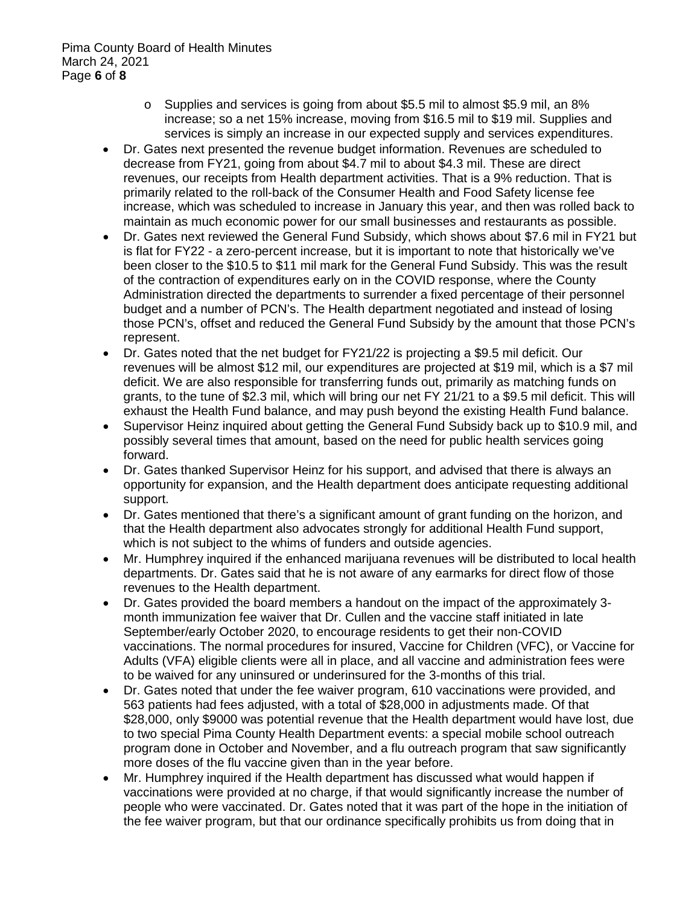- o Supplies and services is going from about \$5.5 mil to almost \$5.9 mil, an 8% increase; so a net 15% increase, moving from \$16.5 mil to \$19 mil. Supplies and services is simply an increase in our expected supply and services expenditures.
- Dr. Gates next presented the revenue budget information. Revenues are scheduled to decrease from FY21, going from about \$4.7 mil to about \$4.3 mil. These are direct revenues, our receipts from Health department activities. That is a 9% reduction. That is primarily related to the roll-back of the Consumer Health and Food Safety license fee increase, which was scheduled to increase in January this year, and then was rolled back to maintain as much economic power for our small businesses and restaurants as possible.
- Dr. Gates next reviewed the General Fund Subsidy, which shows about \$7.6 mil in FY21 but is flat for FY22 - a zero-percent increase, but it is important to note that historically we've been closer to the \$10.5 to \$11 mil mark for the General Fund Subsidy. This was the result of the contraction of expenditures early on in the COVID response, where the County Administration directed the departments to surrender a fixed percentage of their personnel budget and a number of PCN's. The Health department negotiated and instead of losing those PCN's, offset and reduced the General Fund Subsidy by the amount that those PCN's represent.
- Dr. Gates noted that the net budget for FY21/22 is projecting a \$9.5 mil deficit. Our revenues will be almost \$12 mil, our expenditures are projected at \$19 mil, which is a \$7 mil deficit. We are also responsible for transferring funds out, primarily as matching funds on grants, to the tune of \$2.3 mil, which will bring our net FY 21/21 to a \$9.5 mil deficit. This will exhaust the Health Fund balance, and may push beyond the existing Health Fund balance.
- Supervisor Heinz inquired about getting the General Fund Subsidy back up to \$10.9 mil, and possibly several times that amount, based on the need for public health services going forward.
- Dr. Gates thanked Supervisor Heinz for his support, and advised that there is always an opportunity for expansion, and the Health department does anticipate requesting additional support.
- Dr. Gates mentioned that there's a significant amount of grant funding on the horizon, and that the Health department also advocates strongly for additional Health Fund support, which is not subject to the whims of funders and outside agencies.
- Mr. Humphrey inquired if the enhanced marijuana revenues will be distributed to local health departments. Dr. Gates said that he is not aware of any earmarks for direct flow of those revenues to the Health department.
- Dr. Gates provided the board members a handout on the impact of the approximately 3 month immunization fee waiver that Dr. Cullen and the vaccine staff initiated in late September/early October 2020, to encourage residents to get their non-COVID vaccinations. The normal procedures for insured, Vaccine for Children (VFC), or Vaccine for Adults (VFA) eligible clients were all in place, and all vaccine and administration fees were to be waived for any uninsured or underinsured for the 3-months of this trial.
- Dr. Gates noted that under the fee waiver program, 610 vaccinations were provided, and 563 patients had fees adjusted, with a total of \$28,000 in adjustments made. Of that \$28,000, only \$9000 was potential revenue that the Health department would have lost, due to two special Pima County Health Department events: a special mobile school outreach program done in October and November, and a flu outreach program that saw significantly more doses of the flu vaccine given than in the year before.
- Mr. Humphrey inquired if the Health department has discussed what would happen if vaccinations were provided at no charge, if that would significantly increase the number of people who were vaccinated. Dr. Gates noted that it was part of the hope in the initiation of the fee waiver program, but that our ordinance specifically prohibits us from doing that in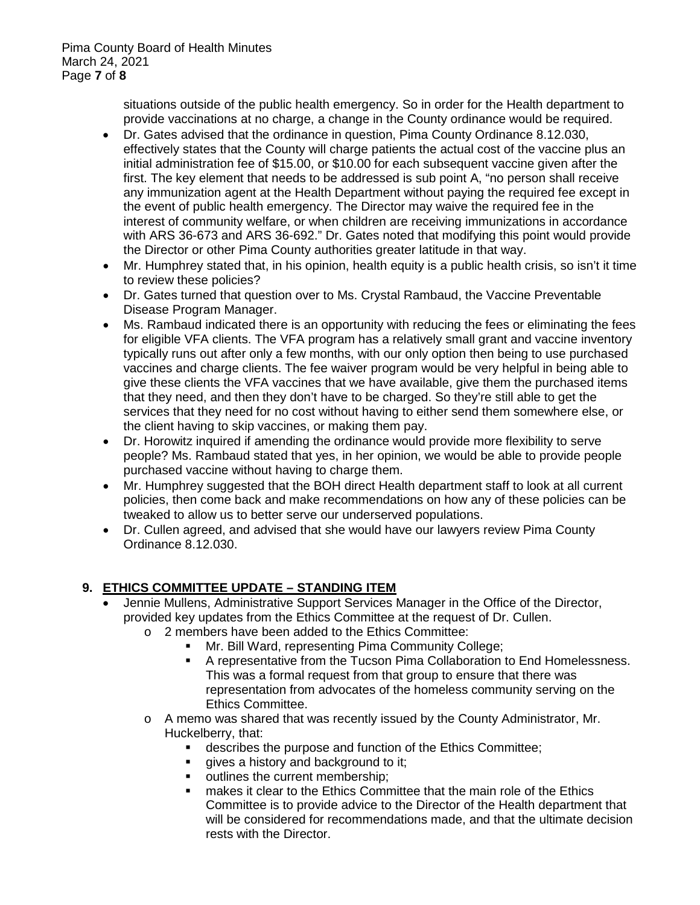situations outside of the public health emergency. So in order for the Health department to provide vaccinations at no charge, a change in the County ordinance would be required.

- Dr. Gates advised that the ordinance in question, Pima County Ordinance 8.12.030, effectively states that the County will charge patients the actual cost of the vaccine plus an initial administration fee of \$15.00, or \$10.00 for each subsequent vaccine given after the first. The key element that needs to be addressed is sub point A, "no person shall receive any immunization agent at the Health Department without paying the required fee except in the event of public health emergency. The Director may waive the required fee in the interest of community welfare, or when children are receiving immunizations in accordance with ARS 36-673 and ARS 36-692." Dr. Gates noted that modifying this point would provide the Director or other Pima County authorities greater latitude in that way.
- Mr. Humphrey stated that, in his opinion, health equity is a public health crisis, so isn't it time to review these policies?
- Dr. Gates turned that question over to Ms. Crystal Rambaud, the Vaccine Preventable Disease Program Manager.
- Ms. Rambaud indicated there is an opportunity with reducing the fees or eliminating the fees for eligible VFA clients. The VFA program has a relatively small grant and vaccine inventory typically runs out after only a few months, with our only option then being to use purchased vaccines and charge clients. The fee waiver program would be very helpful in being able to give these clients the VFA vaccines that we have available, give them the purchased items that they need, and then they don't have to be charged. So they're still able to get the services that they need for no cost without having to either send them somewhere else, or the client having to skip vaccines, or making them pay.
- Dr. Horowitz inquired if amending the ordinance would provide more flexibility to serve people? Ms. Rambaud stated that yes, in her opinion, we would be able to provide people purchased vaccine without having to charge them.
- Mr. Humphrey suggested that the BOH direct Health department staff to look at all current policies, then come back and make recommendations on how any of these policies can be tweaked to allow us to better serve our underserved populations.
- Dr. Cullen agreed, and advised that she would have our lawyers review Pima County Ordinance 8.12.030.

### **9. ETHICS COMMITTEE UPDATE – STANDING ITEM**

- Jennie Mullens, Administrative Support Services Manager in the Office of the Director, provided key updates from the Ethics Committee at the request of Dr. Cullen.
	- o 2 members have been added to the Ethics Committee:
		- **Mr. Bill Ward, representing Pima Community College;**
		- A representative from the Tucson Pima Collaboration to End Homelessness. This was a formal request from that group to ensure that there was representation from advocates of the homeless community serving on the Ethics Committee.
	- $\circ$  A memo was shared that was recently issued by the County Administrator, Mr. Huckelberry, that:
		- **describes the purpose and function of the Ethics Committee;**
		- qives a history and background to it;
		- outlines the current membership;
		- **EXECT** makes it clear to the Ethics Committee that the main role of the Ethics Committee is to provide advice to the Director of the Health department that will be considered for recommendations made, and that the ultimate decision rests with the Director.